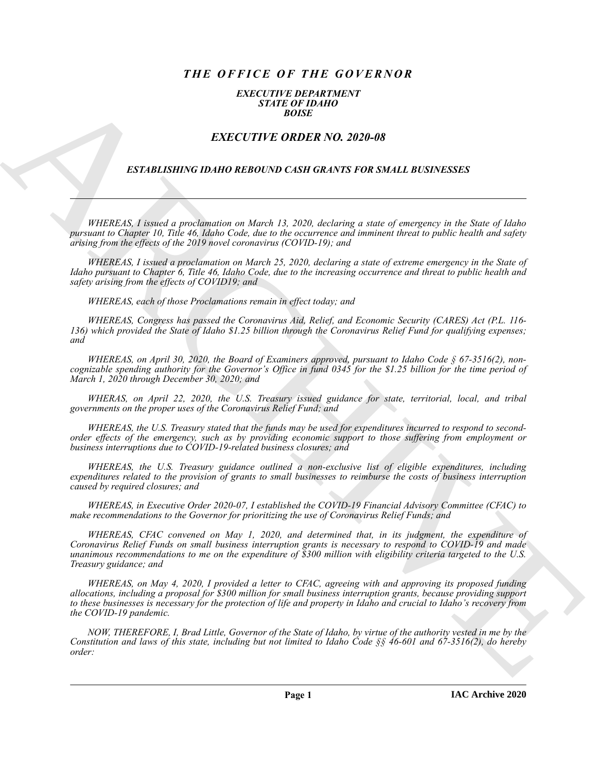## *THE OFFICE OF THE GOVERNOR*

## *EXECUTIVE DEPARTMENT STATE OF IDAHO BOISE*

## *EXECUTIVE ORDER NO. 2020-08*

## *ESTABLISHING IDAHO REBOUND CASH GRANTS FOR SMALL BUSINESSES*

*WHEREAS, I issued a proclamation on March 13, 2020, declaring a state of emergency in the State of Idaho pursuant to Chapter 10, Title 46, Idaho Code, due to the occurrence and imminent threat to public health and safety arising from the effects of the 2019 novel coronavirus (COVID-19); and*

*WHEREAS, I issued a proclamation on March 25, 2020, declaring a state of extreme emergency in the State of Idaho pursuant to Chapter 6, Title 46, Idaho Code, due to the increasing occurrence and threat to public health and safety arising from the effects of COVID19; and*

*WHEREAS, each of those Proclamations remain in effect today; and*

*WHEREAS, Congress has passed the Coronavirus Aid, Relief, and Economic Security (CARES) Act (P.L. 116- 136) which provided the State of Idaho \$1.25 billion through the Coronavirus Relief Fund for qualifying expenses; and*

*WHEREAS, on April 30, 2020, the Board of Examiners approved, pursuant to Idaho Code § 67-3516(2), noncognizable spending authority for the Governor's Office in fund 0345 for the \$1.25 billion for the time period of March 1, 2020 through December 30, 2020; and*

*WHERAS, on April 22, 2020, the U.S. Treasury issued guidance for state, territorial, local, and tribal governments on the proper uses of the Coronavirus Relief Fund; and*

*WHEREAS, the U.S. Treasury stated that the funds may be used for expenditures incurred to respond to secondorder effects of the emergency, such as by providing economic support to those suffering from employment or business interruptions due to COVID-19-related business closures; and* 

*WHEREAS, the U.S. Treasury guidance outlined a non-exclusive list of eligible expenditures, including expenditures related to the provision of grants to small businesses to reimburse the costs of business interruption caused by required closures; and*

*WHEREAS, in Executive Order 2020-07, I established the COVID-19 Financial Advisory Committee (CFAC) to make recommendations to the Governor for prioritizing the use of Coronavirus Relief Funds; and*

**EXACT CONFIGURATION**<br> **EXACT CONFIGURATION**<br> **EXACT CONFIGURATION**<br> **EXACT CONFIGURATION**<br> **EXACT CONFIGURATION**<br> **EXACT CONFIGURATION**<br> **EXACT CONFIGURATION**<br> **EXACT CONFIGURATION**<br> **EXACT CONFIGURATION**<br> **EXACT CONFIGU** *WHEREAS, CFAC convened on May 1, 2020, and determined that, in its judgment, the expenditure of Coronavirus Relief Funds on small business interruption grants is necessary to respond to COVID-19 and made unanimous recommendations to me on the expenditure of \$300 million with eligibility criteria targeted to the U.S. Treasury guidance; and*

*WHEREAS, on May 4, 2020, I provided a letter to CFAC, agreeing with and approving its proposed funding allocations, including a proposal for \$300 million for small business interruption grants, because providing support to these businesses is necessary for the protection of life and property in Idaho and crucial to Idaho's recovery from the COVID-19 pandemic.*

*NOW, THEREFORE, I, Brad Little, Governor of the State of Idaho, by virtue of the authority vested in me by the Constitution and laws of this state, including but not limited to Idaho Code §§ 46-601 and 67-3516(2), do hereby order:*